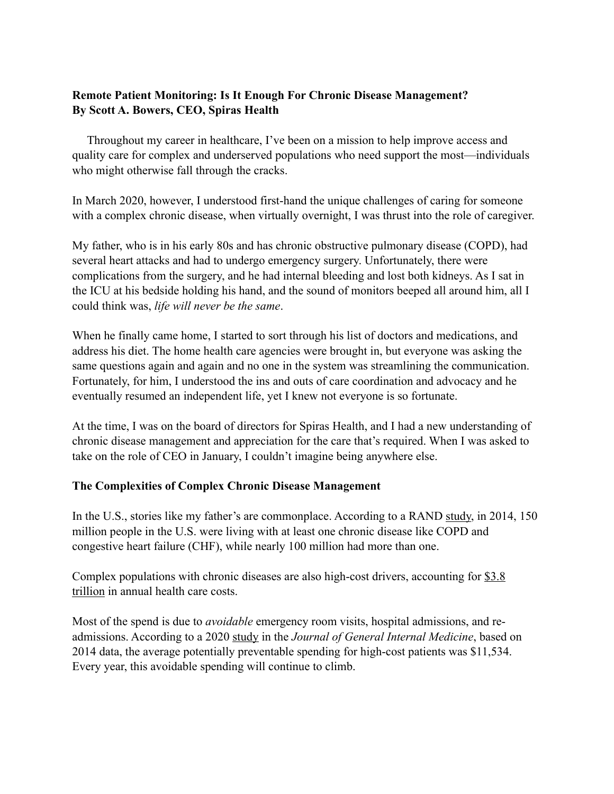## **Remote Patient Monitoring: Is It Enough For Chronic Disease Management? By Scott A. Bowers, CEO, Spiras Health**

 Throughout my career in healthcare, I've been on a mission to help improve access and quality care for complex and underserved populations who need support the most—individuals who might otherwise fall through the cracks.

In March 2020, however, I understood first-hand the unique challenges of caring for someone with a complex chronic disease, when virtually overnight. I was thrust into the role of caregiver.

My father, who is in his early 80s and has chronic obstructive pulmonary disease (COPD), had several heart attacks and had to undergo emergency surgery. Unfortunately, there were complications from the surgery, and he had internal bleeding and lost both kidneys. As I sat in the ICU at his bedside holding his hand, and the sound of monitors beeped all around him, all I could think was, *life will never be the same*.

When he finally came home, I started to sort through his list of doctors and medications, and address his diet. The home health care agencies were brought in, but everyone was asking the same questions again and again and no one in the system was streamlining the communication. Fortunately, for him, I understood the ins and outs of care coordination and advocacy and he eventually resumed an independent life, yet I knew not everyone is so fortunate.

At the time, I was on the board of directors for Spiras Health, and I had a new understanding of chronic disease management and appreciation for the care that's required. When I was asked to take on the role of CEO in January, I couldn't imagine being anywhere else.

## **The Complexities of Complex Chronic Disease Management**

In the U.S., stories like my father's are commonplace. According to a RAND [study,](https://www.rand.org/blog/rand-review/2017/07/chronic-conditions-in-america-price-and-prevalence.html) in 2014, 150 million people in the U.S. were living with at least one chronic disease like COPD and congestive heart failure (CHF), while nearly 100 million had more than one.

Complex populations with chronic diseases are also high-cost drivers, accounting for [\\$3.8](https://www.cdc.gov/chronicdisease/about/costs/index.htm)  [trillion](https://www.cdc.gov/chronicdisease/about/costs/index.htm) in annual health care costs.

Most of the spend is due to *avoidable* emergency room visits, hospital admissions, and readmissions. According to a 2020 [study](https://link.springer.com/article/10.1007/s11606-020-05691-8) in the *Journal of General Internal Medicine*, based on 2014 data, the average potentially preventable spending for high-cost patients was \$11,534. Every year, this avoidable spending will continue to climb.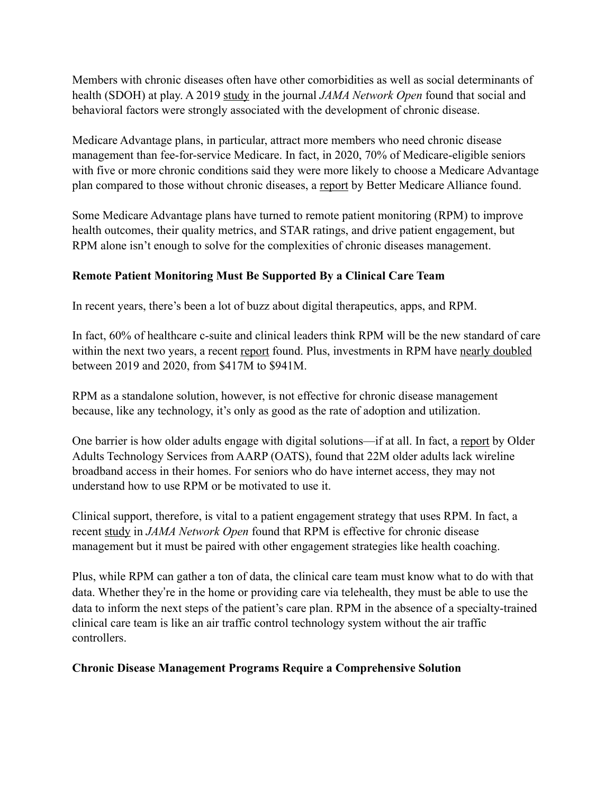Members with chronic diseases often have other comorbidities as well as social determinants of health (SDOH) at play. A 2019 [study](https://jamanetwork.com/journals/jamanetworkopen/fullarticle/2733431) in the journal *JAMA Network Open* found that social and behavioral factors were strongly associated with the development of chronic disease.

Medicare Advantage plans, in particular, attract more members who need chronic disease management than fee-for-service Medicare. In fact, in 2020, 70% of Medicare-eligible seniors with five or more chronic conditions said they were more likely to choose a Medicare Advantage plan compared to those without chronic diseases, a [report](https://bettermedicarealliance.org/wp-content/uploads/2021/05/BMA-State-of-MA-Report-2021.pdf) by Better Medicare Alliance found.

Some Medicare Advantage plans have turned to remote patient monitoring (RPM) to improve health outcomes, their quality metrics, and STAR ratings, and drive patient engagement, but RPM alone isn't enough to solve for the complexities of chronic diseases management.

## **Remote Patient Monitoring Must Be Supported By a Clinical Care Team**

In recent years, there's been a lot of buzz about digital therapeutics, apps, and RPM.

In fact, 60% of healthcare c-suite and clinical leaders think RPM will be the new standard of care within the next two years, a recent [report](https://www.healthcareitnews.com/news/rpm-will-be-new-standard-care-new-study-says) found. Plus, investments in RPM have [nearly doubled](https://healthtransformer.co/record-breaking-year-for-health-innovation-funding-sets-the-stage-for-new-era-of-health-moonshot-fe0bd379a715) between 2019 and 2020, from \$417M to \$941M.

RPM as a standalone solution, however, is not effective for chronic disease management because, like any technology, it's only as good as the rate of adoption and utilization.

One barrier is how older adults engage with digital solutions—if at all. In fact, a [report](https://agingconnected.org/report/) by Older Adults Technology Services from AARP (OATS), found that 22M older adults lack wireline broadband access in their homes. For seniors who do have internet access, they may not understand how to use RPM or be motivated to use it.

Clinical support, therefore, is vital to a patient engagement strategy that uses RPM. In fact, a recent [study](https://jamanetwork.com/journals/jamanetworkopen/fullarticle/2785012?utm_source=For_The_Media&utm_medium=referral&utm_campaign=ftm_links&utm_term=101521) in *JAMA Network Open* found that RPM is effective for chronic disease management but it must be paired with other engagement strategies like health coaching.

Plus, while RPM can gather a ton of data, the clinical care team must know what to do with that data. Whether they're in the home or providing care via telehealth, they must be able to use the data to inform the next steps of the patient's care plan. RPM in the absence of a specialty-trained clinical care team is like an air traffic control technology system without the air traffic controllers.

## **Chronic Disease Management Programs Require a Comprehensive Solution**